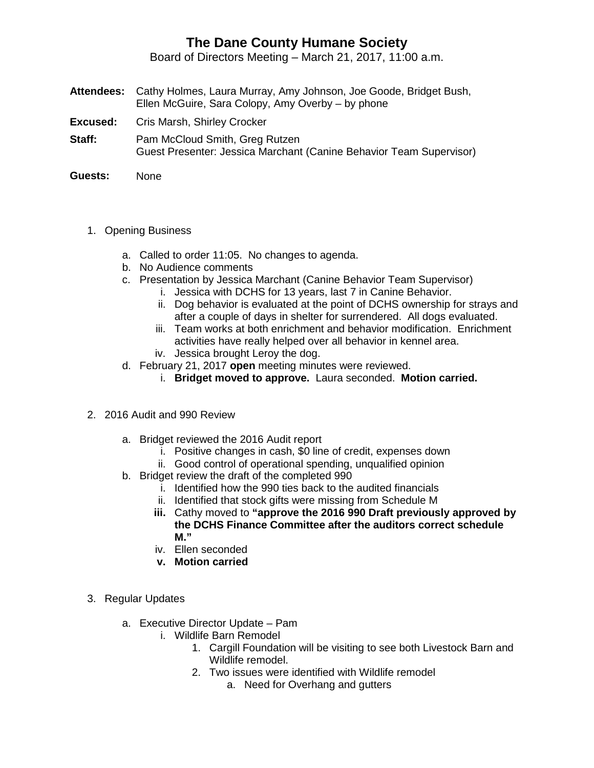## **The Dane County Humane Society**

Board of Directors Meeting – March 21, 2017, 11:00 a.m.

- **Attendees:** Cathy Holmes, Laura Murray, Amy Johnson, Joe Goode, Bridget Bush, Ellen McGuire, Sara Colopy, Amy Overby – by phone
- **Excused:** Cris Marsh, Shirley Crocker
- **Staff:** Pam McCloud Smith, Greg Rutzen Guest Presenter: Jessica Marchant (Canine Behavior Team Supervisor)
- **Guests:** None
	- 1. Opening Business
		- a. Called to order 11:05. No changes to agenda.
		- b. No Audience comments
		- c. Presentation by Jessica Marchant (Canine Behavior Team Supervisor)
			- i. Jessica with DCHS for 13 years, last 7 in Canine Behavior.
			- ii. Dog behavior is evaluated at the point of DCHS ownership for strays and after a couple of days in shelter for surrendered. All dogs evaluated.
			- iii. Team works at both enrichment and behavior modification. Enrichment activities have really helped over all behavior in kennel area. iv. Jessica brought Leroy the dog.
		- d. February 21, 2017 **open** meeting minutes were reviewed.
			- i. **Bridget moved to approve.** Laura seconded. **Motion carried.**
	- 2. 2016 Audit and 990 Review
		- a. Bridget reviewed the 2016 Audit report
			- i. Positive changes in cash, \$0 line of credit, expenses down
			- ii. Good control of operational spending, unqualified opinion
		- b. Bridget review the draft of the completed 990
			- i. Identified how the 990 ties back to the audited financials
			- ii. Identified that stock gifts were missing from Schedule M
			- **iii.** Cathy moved to **"approve the 2016 990 Draft previously approved by the DCHS Finance Committee after the auditors correct schedule M."**
			- iv. Ellen seconded
			- **v. Motion carried**
	- 3. Regular Updates
		- a. Executive Director Update Pam
			- i. Wildlife Barn Remodel
				- 1. Cargill Foundation will be visiting to see both Livestock Barn and Wildlife remodel.
				- 2. Two issues were identified with Wildlife remodel
					- a. Need for Overhang and gutters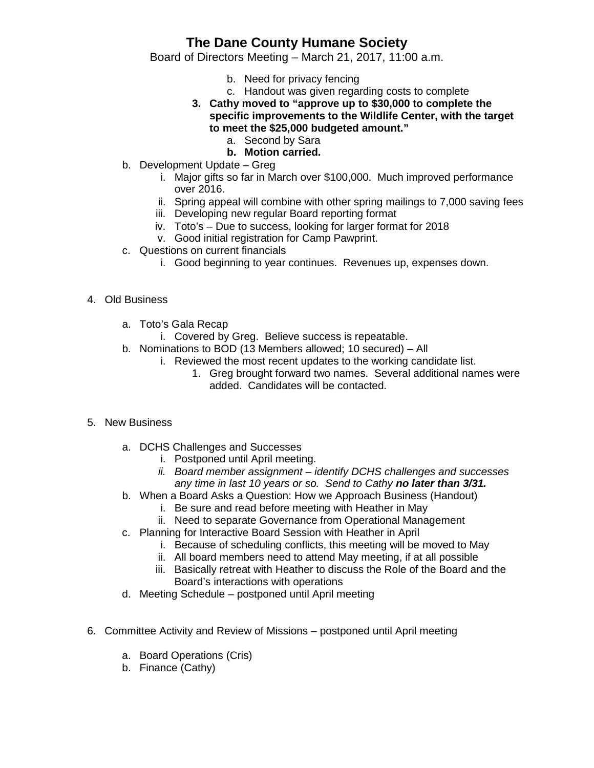## **The Dane County Humane Society**

Board of Directors Meeting – March 21, 2017, 11:00 a.m.

- b. Need for privacy fencing
- c. Handout was given regarding costs to complete
- **3. Cathy moved to "approve up to \$30,000 to complete the specific improvements to the Wildlife Center, with the target to meet the \$25,000 budgeted amount."**
	- a. Second by Sara
	- **b. Motion carried.**
- b. Development Update Greg
	- i. Major gifts so far in March over \$100,000. Much improved performance over 2016.
	- ii. Spring appeal will combine with other spring mailings to 7,000 saving fees
	- iii. Developing new regular Board reporting format
	- iv. Toto's Due to success, looking for larger format for 2018
	- v. Good initial registration for Camp Pawprint.
- c. Questions on current financials
	- i. Good beginning to year continues. Revenues up, expenses down.
- 4. Old Business
	- a. Toto's Gala Recap
		- i. Covered by Greg. Believe success is repeatable.
	- b. Nominations to BOD (13 Members allowed; 10 secured) All
		- i. Reviewed the most recent updates to the working candidate list.
			- 1. Greg brought forward two names. Several additional names were added. Candidates will be contacted.
- 5. New Business
	- a. DCHS Challenges and Successes
		- i. Postponed until April meeting.
		- *ii. Board member assignment – identify DCHS challenges and successes any time in last 10 years or so. Send to Cathy no later than 3/31.*
	- b. When a Board Asks a Question: How we Approach Business (Handout)
		- i. Be sure and read before meeting with Heather in May
		- ii. Need to separate Governance from Operational Management
	- c. Planning for Interactive Board Session with Heather in April
		- i. Because of scheduling conflicts, this meeting will be moved to May
		- ii. All board members need to attend May meeting, if at all possible
		- iii. Basically retreat with Heather to discuss the Role of the Board and the Board's interactions with operations
	- d. Meeting Schedule postponed until April meeting
- 6. Committee Activity and Review of Missions postponed until April meeting
	- a. Board Operations (Cris)
	- b. Finance (Cathy)